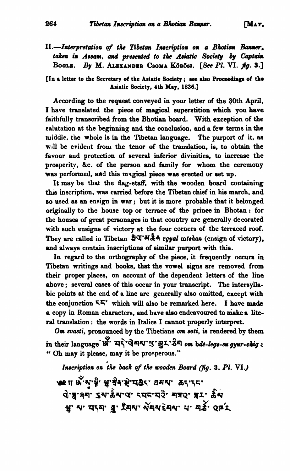II.-Interpretation of the Tibetan Inscription on a Bhotian Banner, *taken* in Assam, and presented to the Asiatic Society by Captain BOGLE. By M. ALEXANDER CSOMA KÖRÖSI. [See PI. VI. fg. 3.]

**[In a** letter **to** the Secretary of the **Asiatic** Society ; **we dao Pmcadbgs of tba Adatic** Society, **4th May, 1836.1** 

According to the request conveyed in your letter of the QOth April, I have translated the piece of magical superstition which you have faithfully transcribed from the Bhotian board. With exception of the ralutation at the beginning and the conclusion. and a few terms in tbe middle. the whole is in the Tibetan language. The purport of it, **as**  will be evident from the tenor of the translation, is, to obtain the favour aud protection of several inferior divinities, to increase the prosperity, &c. of the person and family for whom the ceremony **was** performed, **and** this mngical piece wan erected or set up.

It may be that the flag-staff, with the wooden board containing this inscription, was carried before the Tibetan chief in his march, and so used as an ensign in war; but it is more probable that it belonged originally to the house top or tenace of the prince in Bhotan : for the houses of great personages in that country are generally decorated with such ensigns of victory at the four comers of the terraced roof. They are called in Tibetan  $\frac{2}{3}$ <sup>x</sup> \*\*\*\*\* *rgyal mtshan* (ensign of victory). and always contain inscriptione of similar purport with this.

In regard to the orthography of the piece, it frequently occurs in Tibetan writings and books, that the vowel signs are removed from their proper places, on account of the dependent letters of the line above ; several cases of this occur in your transcript. The intersyllabic points at the end of a line are generally also omitted, except with the conjunction **54'** which will also be remarked here. I have **made**  a copy in Roman characters, and have also endeavoured to make a literal translation : the words in Italics I cannot properly interpret.

Om svasti, pronounced by the Tibetians om soti, is rendered by them in their language **W**  $\mathbf{q}^2$  **W**  $\mathbf{q}^2$  on  $\mathbf{p}$  on  $\mathbf{p}$  and  $\mathbf{p}$  and  $\mathbf{p}$  is a set  $\mathbf{p}$ " Oh may it please, may it be prosperous."

Inscription on the back of the wooden Board (fig. 3. Pl. VI.)

**WTr \$'.yw)' ~'&.~q&\* 8UV** *&T\*TEv*  **dWg'q;' ~w&W'W tq~qa' 4TQv II' ff~**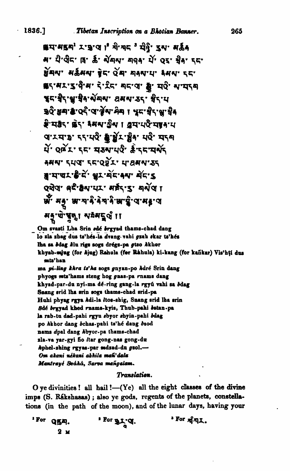í

**1836.]** . Tibetan Inscription on a Bhotian Banner.<br> **#1'#54' L'3'4 |** \* พิ' พิ< <sup>3</sup> นิ่คุ๊' รูพ' ผลัง<br>
ผ \* นิ่' ปิ๊ร' เรี สั้ ฟัตพ ตลง นั่ os ซิ่ง ระ ลี่ยน หรับที่ 5 ตุลาง 5 ตุลาง 5 ตุลาง 5 ตุลาง 55741'3'9'4' 5'25' 55'4' 5' 40' 5' 40' 5'45" ชุราชิรายาชิงาผัตพา อสพาธรา ชิราย <u>ਙਹੈ ਡਥਾਡਾ</u> ਹਵੈ 'ਹਾ*ਵੇਂ* ਆਸੇਥਾ । ਖੁਫਾੜੇਵ ਆਜ਼ੇਰ g.<br>B. Ige. Ge. 1841. Jan 1 Jan 1941. d'Yd'B' 55'40' a BY' Ba' 40' 454 มี 282 55 มุมมายิ สิงสนุ ANN' SUCT SE'OOL' U'ANN'AS a'ਧਾਰਪ'ਲੇ' ਦੇ ਘੁਪ ਘੱਟ ਆ ਕੌਂਟਾ 5 OGO at BN'UL' HEL'S' AND I *ष्ठैः म*ङ्गुः क्ष<sup>र</sup>मः श्रे बेनाने क्षरञ्चे अस्य बर मनृ पे पुनु । यमदर् थे ।।

Om svasti Lha Srin *adé brgyad* thams-chad dang lo zla zhag dus ts'hés-la dvang vahi gzah skar ts'hés lha sa *bdag klu rigs sogs drégs-pa gtso Akhor* khyab-mjug (for hjug) Rahula (for Rahula) ki-kang (for kañkar) Vis'hti dus mfa'han ma pi-ling khra ta'ha sogs gnyan-po Adré Srin dang phyogs mts'hams steng hog gnas-pa rnams dang khyad-par-du nyi-ma dé-ring gang-la rgyú vahi sa bdag Snang srid lha srin sogs thams-chad srid-pa Huhi phyag rgya *h*di-la *ltos-shig*, Snang srid lba srin **8de brgyul khed** rnamekyir, **Thub-phi** batan-pa **la** nb-ta dad-pahi **gyn** abyor 8hyin-pahi **bdag po** hkbor dang bchaa-pahi ta'h6 dang brod nams dpal dang Abyor-pa thams-chad zla-va yar-gyi fio *itar* gong-nas gong-du  $h$ phel-zhing rgyas-par mdzad-du  $g$ sol.-**Om** akmi *dkm'* abhila **d'dala Monlreyt! Sahki,** Sam **marigalam.** 

## Translation.

**O** ye divinities ! all hail !-(Ye) all the eight classes of the divine imps (S. Rákshasas) ; also ye gods, regents of the planets, constellations (in the path of the moon), and of the lunar **days,** having your

| For QEA. | ' For gr. q. | <sup>3</sup> For $n \nmid n$ . |
|----------|--------------|--------------------------------|
| 2 м      |              |                                |